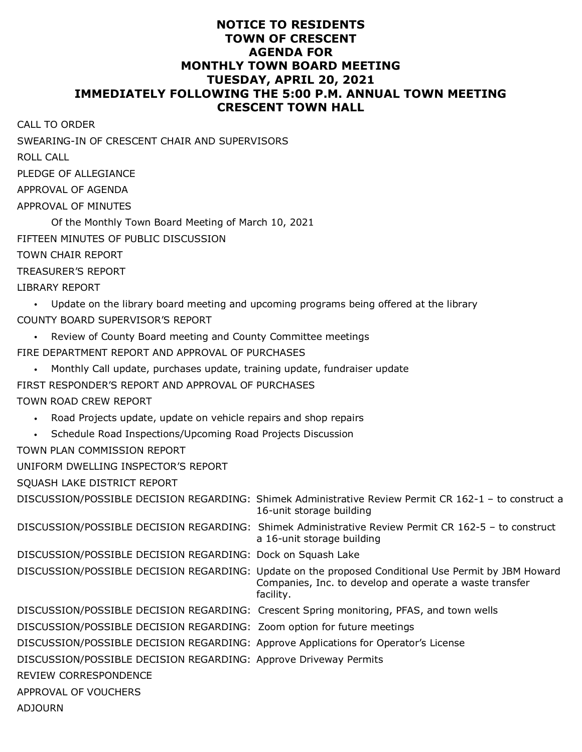## **NOTICE TO RESIDENTS TOWN OF CRESCENT AGENDA FOR MONTHLY TOWN BOARD MEETING TUESDAY, APRIL 20, 2021 IMMEDIATELY FOLLOWING THE 5:00 P.M. ANNUAL TOWN MEETING CRESCENT TOWN HALL**

| <b>CALL TO ORDER</b>                                                                |                                                                                                                                                                             |
|-------------------------------------------------------------------------------------|-----------------------------------------------------------------------------------------------------------------------------------------------------------------------------|
| SWEARING-IN OF CRESCENT CHAIR AND SUPERVISORS                                       |                                                                                                                                                                             |
| <b>ROLL CALL</b>                                                                    |                                                                                                                                                                             |
| PLEDGE OF ALLEGIANCE                                                                |                                                                                                                                                                             |
| APPROVAL OF AGENDA                                                                  |                                                                                                                                                                             |
| APPROVAL OF MINUTES                                                                 |                                                                                                                                                                             |
| Of the Monthly Town Board Meeting of March 10, 2021                                 |                                                                                                                                                                             |
| FIFTEEN MINUTES OF PUBLIC DISCUSSION                                                |                                                                                                                                                                             |
| <b>TOWN CHAIR REPORT</b>                                                            |                                                                                                                                                                             |
| <b>TREASURER'S REPORT</b>                                                           |                                                                                                                                                                             |
| <b>LIBRARY REPORT</b>                                                               |                                                                                                                                                                             |
|                                                                                     | Update on the library board meeting and upcoming programs being offered at the library                                                                                      |
| COUNTY BOARD SUPERVISOR'S REPORT                                                    |                                                                                                                                                                             |
| Review of County Board meeting and County Committee meetings                        |                                                                                                                                                                             |
| FIRE DEPARTMENT REPORT AND APPROVAL OF PURCHASES                                    |                                                                                                                                                                             |
| Monthly Call update, purchases update, training update, fundraiser update           |                                                                                                                                                                             |
| FIRST RESPONDER'S REPORT AND APPROVAL OF PURCHASES                                  |                                                                                                                                                                             |
| TOWN ROAD CREW REPORT                                                               |                                                                                                                                                                             |
| Road Projects update, update on vehicle repairs and shop repairs<br>$\bullet$       |                                                                                                                                                                             |
| Schedule Road Inspections/Upcoming Road Projects Discussion                         |                                                                                                                                                                             |
| TOWN PLAN COMMISSION REPORT                                                         |                                                                                                                                                                             |
| UNIFORM DWELLING INSPECTOR'S REPORT                                                 |                                                                                                                                                                             |
| SQUASH LAKE DISTRICT REPORT                                                         |                                                                                                                                                                             |
|                                                                                     | DISCUSSION/POSSIBLE DECISION REGARDING: Shimek Administrative Review Permit CR 162-1 - to construct a<br>16-unit storage building                                           |
|                                                                                     | DISCUSSION/POSSIBLE DECISION REGARDING: Shimek Administrative Review Permit CR 162-5 - to construct<br>a 16-unit storage building                                           |
| DISCUSSION/POSSIBLE DECISION REGARDING: Dock on Squash Lake                         |                                                                                                                                                                             |
|                                                                                     | DISCUSSION/POSSIBLE DECISION REGARDING: Update on the proposed Conditional Use Permit by JBM Howard<br>Companies, Inc. to develop and operate a waste transfer<br>facility. |
|                                                                                     | DISCUSSION/POSSIBLE DECISION REGARDING: Crescent Spring monitoring, PFAS, and town wells                                                                                    |
| DISCUSSION/POSSIBLE DECISION REGARDING: Zoom option for future meetings             |                                                                                                                                                                             |
| DISCUSSION/POSSIBLE DECISION REGARDING: Approve Applications for Operator's License |                                                                                                                                                                             |
| DISCUSSION/POSSIBLE DECISION REGARDING: Approve Driveway Permits                    |                                                                                                                                                                             |
| REVIEW CORRESPONDENCE                                                               |                                                                                                                                                                             |
| APPROVAL OF VOUCHERS                                                                |                                                                                                                                                                             |

ADJOURN